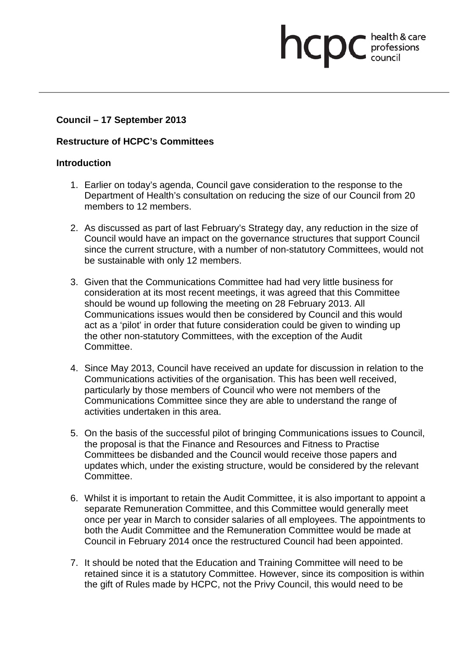# **Council – 17 September 2013**

## **Restructure of HCPC's Committees**

## **Introduction**

1. Earlier on today's agenda, Council gave consideration to the response to the Department of Health's consultation on reducing the size of our Council from 20 members to 12 members.

health & care

professions<br>council

hcpc

- 2. As discussed as part of last February's Strategy day, any reduction in the size of Council would have an impact on the governance structures that support Council since the current structure, with a number of non-statutory Committees, would not be sustainable with only 12 members.
- 3. Given that the Communications Committee had had very little business for consideration at its most recent meetings, it was agreed that this Committee should be wound up following the meeting on 28 February 2013. All Communications issues would then be considered by Council and this would act as a 'pilot' in order that future consideration could be given to winding up the other non-statutory Committees, with the exception of the Audit Committee.
- 4. Since May 2013, Council have received an update for discussion in relation to the Communications activities of the organisation. This has been well received, particularly by those members of Council who were not members of the Communications Committee since they are able to understand the range of activities undertaken in this area.
- 5. On the basis of the successful pilot of bringing Communications issues to Council, the proposal is that the Finance and Resources and Fitness to Practise Committees be disbanded and the Council would receive those papers and updates which, under the existing structure, would be considered by the relevant Committee.
- 6. Whilst it is important to retain the Audit Committee, it is also important to appoint a separate Remuneration Committee, and this Committee would generally meet once per year in March to consider salaries of all employees. The appointments to both the Audit Committee and the Remuneration Committee would be made at Council in February 2014 once the restructured Council had been appointed.
- 7. It should be noted that the Education and Training Committee will need to be retained since it is a statutory Committee. However, since its composition is within the gift of Rules made by HCPC, not the Privy Council, this would need to be